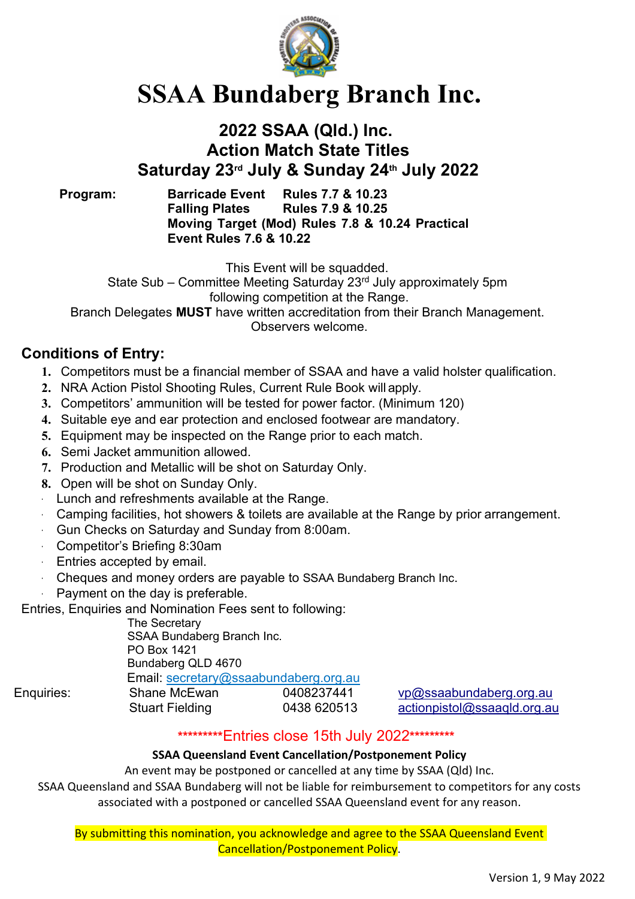

# **SSAA Bundaberg Branch Inc.**

## **2022 SSAA (Qld.) Inc. Action Match State Titles Saturday 23rd July & Sunday 24th July 2022**

**Program: Barricade Event Rules 7.7 & 10.23 Falling Plates Rules 7.9 & 10.25 Moving Target (Mod) Rules 7.8 & 10.24 Practical Event Rules 7.6 & 10.22**

This Event will be squadded.

State Sub – Committee Meeting Saturday 23<sup>rd</sup> July approximately 5pm following competition at the Range.

Branch Delegates **MUST** have written accreditation from their Branch Management. Observers welcome.

### **Conditions of Entry:**

- **1.** Competitors must be a financial member of SSAA and have a valid holster qualification.
- **2.** NRA Action Pistol Shooting Rules, Current Rule Book will apply.
- **3.** Competitors' ammunition will be tested for power factor. (Minimum 120)
- **4.** Suitable eye and ear protection and enclosed footwear are mandatory.
- **5.** Equipment may be inspected on the Range prior to each match.
- **6.** Semi Jacket ammunition allowed.
- **7.** Production and Metallic will be shot on Saturday Only.
- **8.** Open will be shot on Sunday Only.
- · Lunch and refreshments available at the Range.
- · Camping facilities, hot showers & toilets are available at the Range by prior arrangement.
- Gun Checks on Saturday and Sunday from 8:00am.
- · Competitor's Briefing 8:30am
- · Entries accepted by email.
- · Cheques and money orders are payable to SSAA Bundaberg Branch Inc.
- Payment on the day is preferable.

Entries, Enquiries and Nomination Fees sent to following:

The Secretary SSAA Bundaberg Branch Inc. PO Box 1421 Bundaberg QLD 4670 Email: [secretary@ssaabundaberg.org.au](mailto:secretary@ssaabundaberg.org.au)

Enquiries: Shane McEwan 0408237441 [vp@ssaabundaberg.org.au](mailto:vp@ssaabundaberg.org.au) Stuart Fielding 0438 620513 [actionpistol@ssaaqld.org.au](mailto:actionpistol@ssaaqld.org.au)

#### **\*\*\*\*\*\*\*\*\***Entries close 15th July 2022**\*\*\*\*\*\*\*\*\***

#### **SSAA Queensland Event Cancellation/Postponement Policy**

An event may be postponed or cancelled at any time by SSAA (Qld) Inc.

SSAA Queensland and SSAA Bundaberg will not be liable for reimbursement to competitors for any costs associated with a postponed or cancelled SSAA Queensland event for any reason.

By submitting this nomination, you acknowledge and agree to the SSAA Queensland Event Cancellation/Postponement Policy.